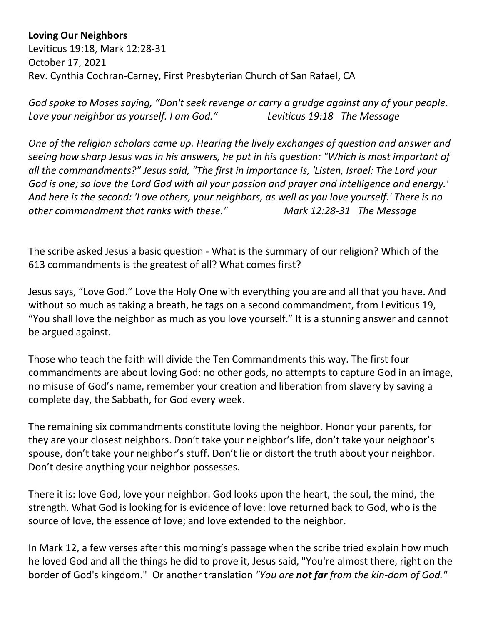**Loving Our Neighbors**

Leviticus 19:18, Mark 12:28-31 October 17, 2021 Rev. Cynthia Cochran-Carney, First Presbyterian Church of San Rafael, CA

*God spoke to Moses saying, "Don't seek revenge or carry a grudge against any of your people. Love your neighbor as yourself. I am God." Leviticus 19:18 The Message*

*One of the religion scholars came up. Hearing the lively exchanges of question and answer and seeing how sharp Jesus was in his answers, he put in his question: "Which is most important of all the commandments?" Jesus said, "The first in importance is, 'Listen, Israel: The Lord your God is one; so love the Lord God with all your passion and prayer and intelligence and energy.' And here is the second: 'Love others, your neighbors, as well as you love yourself.' There is no other commandment that ranks with these." Mark 12:28-31 The Message*

The scribe asked Jesus a basic question - What is the summary of our religion? Which of the 613 commandments is the greatest of all? What comes first?

Jesus says, "Love God." Love the Holy One with everything you are and all that you have. And without so much as taking a breath, he tags on a second commandment, from Leviticus 19, "You shall love the neighbor as much as you love yourself." It is a stunning answer and cannot be argued against.

Those who teach the faith will divide the Ten Commandments this way. The first four commandments are about loving God: no other gods, no attempts to capture God in an image, no misuse of God's name, remember your creation and liberation from slavery by saving a complete day, the Sabbath, for God every week.

The remaining six commandments constitute loving the neighbor. Honor your parents, for they are your closest neighbors. Don't take your neighbor's life, don't take your neighbor's spouse, don't take your neighbor's stuff. Don't lie or distort the truth about your neighbor. Don't desire anything your neighbor possesses.

There it is: love God, love your neighbor. God looks upon the heart, the soul, the mind, the strength. What God is looking for is evidence of love: love returned back to God, who is the source of love, the essence of love; and love extended to the neighbor.

In Mark 12, a few verses after this morning's passage when the scribe tried explain how much he loved God and all the things he did to prove it, Jesus said, "You're almost there, right on the border of God's kingdom." Or another translation *"You are not far from the kin-dom of God."*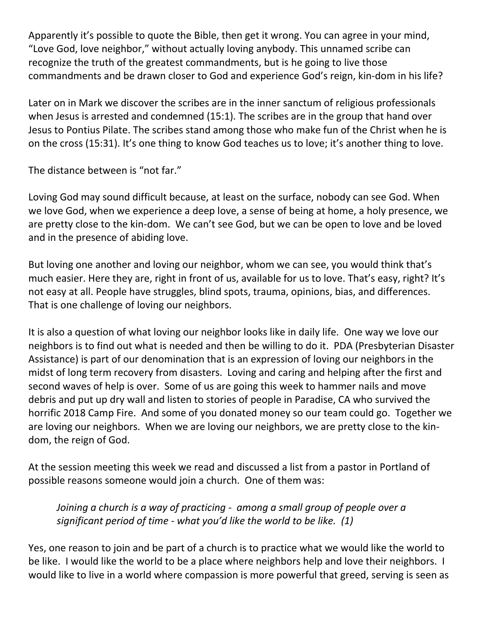Apparently it's possible to quote the Bible, then get it wrong. You can agree in your mind, "Love God, love neighbor," without actually loving anybody. This unnamed scribe can recognize the truth of the greatest commandments, but is he going to live those commandments and be drawn closer to God and experience God's reign, kin-dom in his life?

Later on in Mark we discover the scribes are in the inner sanctum of religious professionals when Jesus is arrested and condemned (15:1). The scribes are in the group that hand over Jesus to Pontius Pilate. The scribes stand among those who make fun of the Christ when he is on the cross (15:31). It's one thing to know God teaches us to love; it's another thing to love.

The distance between is "not far."

Loving God may sound difficult because, at least on the surface, nobody can see God. When we love God, when we experience a deep love, a sense of being at home, a holy presence, we are pretty close to the kin-dom. We can't see God, but we can be open to love and be loved and in the presence of abiding love.

But loving one another and loving our neighbor, whom we can see, you would think that's much easier. Here they are, right in front of us, available for us to love. That's easy, right? It's not easy at all. People have struggles, blind spots, trauma, opinions, bias, and differences. That is one challenge of loving our neighbors.

It is also a question of what loving our neighbor looks like in daily life. One way we love our neighbors is to find out what is needed and then be willing to do it. PDA (Presbyterian Disaster Assistance) is part of our denomination that is an expression of loving our neighbors in the midst of long term recovery from disasters. Loving and caring and helping after the first and second waves of help is over. Some of us are going this week to hammer nails and move debris and put up dry wall and listen to stories of people in Paradise, CA who survived the horrific 2018 Camp Fire. And some of you donated money so our team could go. Together we are loving our neighbors. When we are loving our neighbors, we are pretty close to the kindom, the reign of God.

At the session meeting this week we read and discussed a list from a pastor in Portland of possible reasons someone would join a church. One of them was:

*Joining a church is a way of practicing - among a small group of people over a significant period of time - what you'd like the world to be like. (1)* 

Yes, one reason to join and be part of a church is to practice what we would like the world to be like. I would like the world to be a place where neighbors help and love their neighbors. I would like to live in a world where compassion is more powerful that greed, serving is seen as